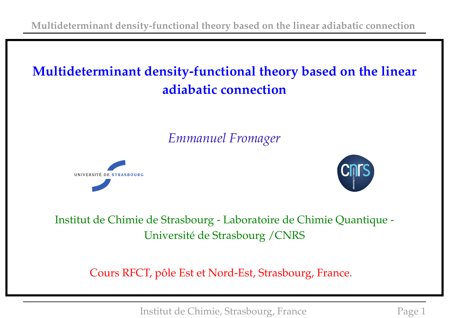# **Multideterminant density-functional theory based on the linear adiabatic connection**

## *Emmanuel Fromager*





Institut de Chimie de Strasbourg - Laboratoire de Chimie Quantique - Université de Strasbourg /CNRS

Cours RFCT, pôle Est et Nord-Est, Strasbourg, France.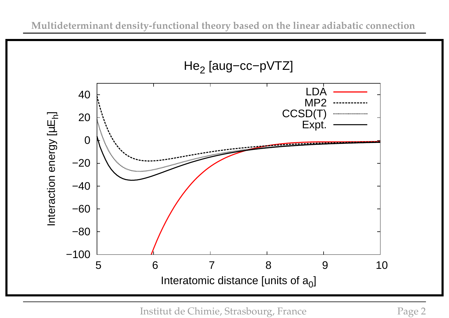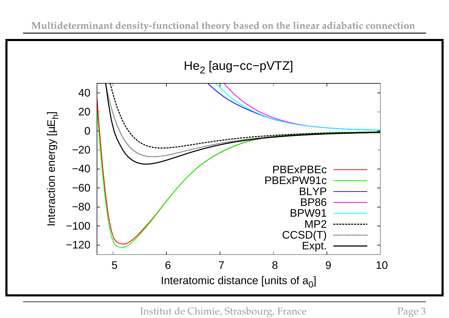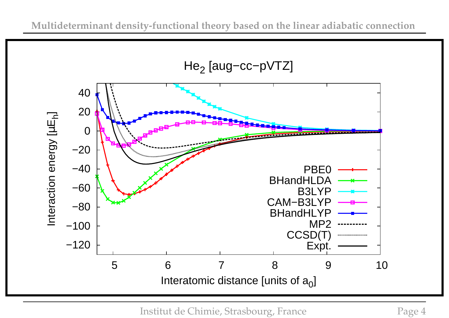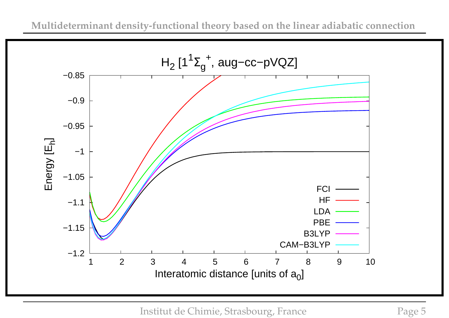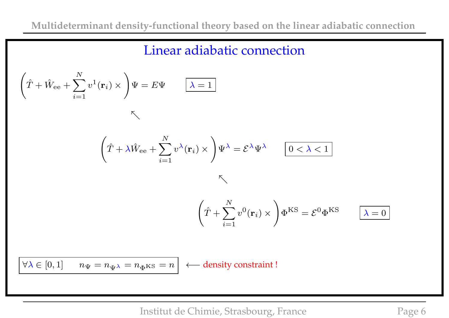#### Linear adiabatic connection

$$
\left(\hat{T} + \hat{W}_{ee} + \sum_{i=1}^{N} v^{1}(\mathbf{r}_{i}) \times \right) \Psi = E\Psi \qquad \boxed{\lambda = 1}
$$
\n
$$
\left(\hat{T} + \lambda \hat{W}_{ee} + \sum_{i=1}^{N} v^{\lambda}(\mathbf{r}_{i}) \times \right) \Psi^{\lambda} = \mathcal{E}^{\lambda} \Psi^{\lambda} \qquad \boxed{0 < \lambda < 1}
$$
\n
$$
\left(\hat{T} + \sum_{i=1}^{N} v^{0}(\mathbf{r}_{i}) \times \right) \Phi^{KS} = \mathcal{E}^{0} \Phi^{KS} \qquad \boxed{\lambda = 0}
$$
\n
$$
\boxed{\forall \lambda \in [0, 1] \quad n_{\Psi} = n_{\Psi^{\lambda}} = n_{\Phi} \text{ks} = n} \longleftarrow \text{density constraint!}
$$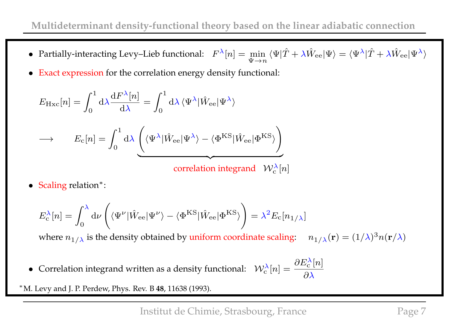- Partially-interacting Levy–Lieb functional:  $F^{\lambda}[n] = \min_{\mathbf{F}}$  $\Psi \rightarrow n$  $\langle\Psi|\hat{T}+\lambda\hat{W}_{\rm ee}|\Psi\rangle=\langle\Psi^{\lambda}|\hat{T}+\lambda\hat{W}_{\rm ee}|\Psi^{\lambda}\rangle$
- Exact expression for the correlation energy density functional:

$$
E_{\rm Hxc}[n] = \int_0^1 d\lambda \frac{dF^{\lambda}[n]}{d\lambda} = \int_0^1 d\lambda \langle \Psi^{\lambda} | \hat{W}_{ee} | \Psi^{\lambda} \rangle
$$
  

$$
\rightarrow \qquad E_c[n] = \int_0^1 d\lambda \left( \langle \Psi^{\lambda} | \hat{W}_{ee} | \Psi^{\lambda} \rangle - \langle \Phi^{\rm KS} | \hat{W}_{ee} | \Phi^{\rm KS} \rangle \right)
$$
  
correlation integrand  $\mathcal{W}_c^{\lambda}[n]$ 

• Scaling relation∗:

$$
E_{\rm c}^{\lambda}[n] = \int_0^{\lambda} d\nu \left( \langle \Psi^{\nu} | \hat{W}_{\rm ee} | \Psi^{\nu} \rangle - \langle \Phi^{\rm KS} | \hat{W}_{\rm ee} | \Phi^{\rm KS} \rangle \right) = \lambda^2 E_{\rm c}[n_{1/\lambda}]
$$

where  $n_{1/\lambda}$  is the density obtained by uniform coordinate scaling:  $n_{1/\lambda}(\mathbf{r}) = (1/\lambda)^3 n(\mathbf{r}/\lambda)$ 

• Correlation integrand written as a density functional:  $W_c^{\lambda}[n] = \frac{\partial E_c^{\lambda}}{\partial \lambda}$  $\frac{\lambda}{c}[n]$  $\partial \lambda$ 

∗ M. Levy and J. P. Perdew, Phys. Rev. B **48**, 11638 (1993).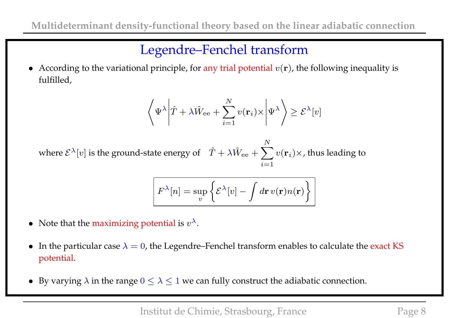### Legendre–Fenchel transform

• According to the variational principle, for any trial potential  $v(\mathbf{r})$ , the following inequality is fulfilled,

$$
\left\langle \Psi^{\lambda} \left| \hat{T} + \lambda \hat{W}_{ee} + \sum_{i=1}^{N} v(\mathbf{r}_{i}) \times \right| \Psi^{\lambda} \right\rangle \geq \mathcal{E}^{\lambda}[v]
$$

where  $\mathcal{E}^{\lambda}[v]$  is the ground-state energy of  $\hat{T} + \lambda \hat{W}_{ee} + \sum$ N  $i=1$  $v(\mathbf{r}_i)\times$ , thus leading to

$$
F^{\lambda}[n] = \sup_{v} \left\{ \mathcal{E}^{\lambda}[v] - \int d\mathbf{r} \, v(\mathbf{r}) n(\mathbf{r}) \right\}
$$

- Note that the maximizing potential is  $v^{\lambda}$ .
- In the particular case  $\lambda = 0$ , the Legendre–Fenchel transform enables to calculate the exact KS potential.
- By varying  $\lambda$  in the range  $0 \leq \lambda \leq 1$  we can fully construct the adiabatic connection.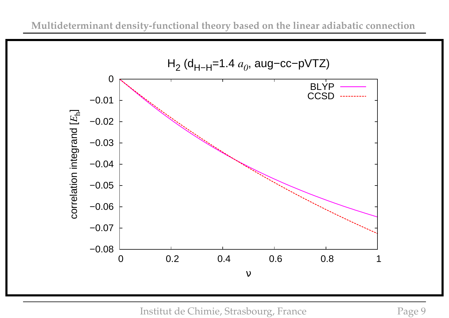

Institut de Chimie, Strasbourg, France Page 9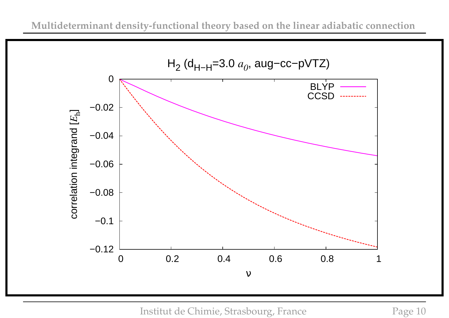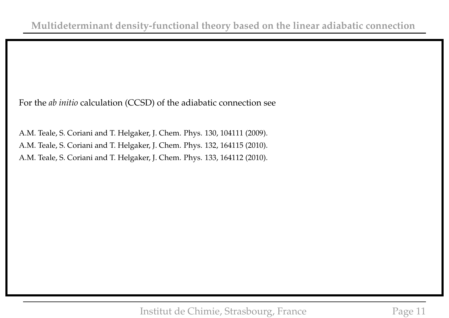For the *ab initio* calculation (CCSD) of the adiabatic connection see

A.M. Teale, S. Coriani and T. Helgaker, J. Chem. Phys. 130, 104111 (2009). A.M. Teale, S. Coriani and T. Helgaker, J. Chem. Phys. 132, 164115 (2010). A.M. Teale, S. Coriani and T. Helgaker, J. Chem. Phys. 133, 164112 (2010).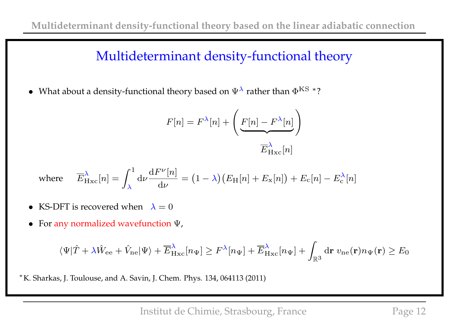### Multideterminant density-functional theory

• What about a density-functional theory based on  $\Psi^{\lambda}$  rather than  $\Phi^{\text{KS}}$  \*?

$$
F[n] = F^{\lambda}[n] + \left(E[n] - F^{\lambda}[n]\right)
$$

$$
\overline{E}_{\text{Hxc}}^{\lambda}[n]
$$

where 
$$
\overline{E}_{\text{Hxc}}^{\lambda}[n] = \int_{\lambda}^{1} d\nu \frac{dF^{\nu}[n]}{d\nu} = (1 - \lambda) (E_{\text{H}}[n] + E_{\text{x}}[n]) + E_{\text{c}}[n] - E_{\text{c}}^{\lambda}[n]
$$

- KS-DFT is recovered when  $\lambda = 0$
- For any normalized wavefunction Ψ,

$$
\langle \Psi | \hat{T} + \lambda \hat{W}_{ee} + \hat{V}_{ne} | \Psi \rangle + \overline{E}_{Hxc}^{\lambda}[n_{\Psi}] \geq F^{\lambda}[n_{\Psi}] + \overline{E}_{Hxc}^{\lambda}[n_{\Psi}] + \int_{\mathbb{R}^3} d\mathbf{r} \, v_{ne}(\mathbf{r}) n_{\Psi}(\mathbf{r}) \geq E_0
$$

∗ K. Sharkas, J. Toulouse, and A. Savin, J. Chem. Phys. 134, 064113 (2011)